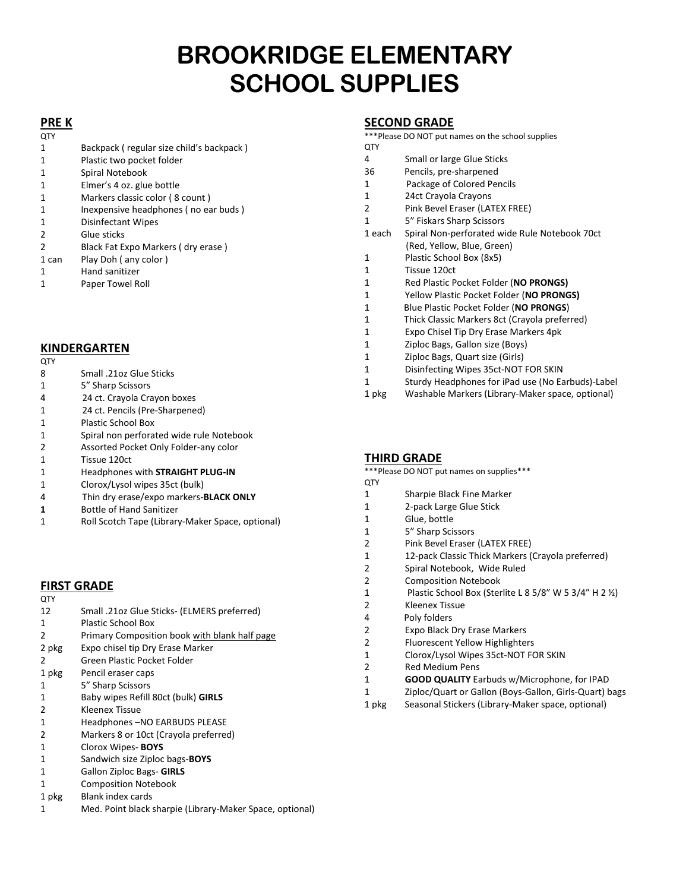# **BROOKRIDGE ELEMENTARY SCHOOL SUPPLIES**

## **PRE K**

| QTY           |                                          |
|---------------|------------------------------------------|
| 1             | Backpack (regular size child's backpack) |
| 1             | Plastic two pocket folder                |
| 1             | Spiral Notebook                          |
| 1             | Elmer's 4 oz. glue bottle                |
| 1             | Markers classic color (8 count)          |
| 1             | Inexpensive headphones (no ear buds)     |
| 1             | Disinfectant Wipes                       |
| $\mathcal{P}$ | Glue sticks                              |
| $\mathcal{P}$ | Black Fat Expo Markers (dry erase)       |
| 1 can         | Play Doh (any color)                     |
|               |                                          |

- Hand sanitizer
- Paper Towel Roll

## **KINDERGARTEN**

- QTY
- Small .21oz Glue Sticks
- 5" Sharp Scissors
- 4 24 ct. Crayola Crayon boxes
- 1 24 ct. Pencils (Pre-Sharpened)
- Plastic School Box
- Spiral non perforated wide rule Notebook
- Assorted Pocket Only Folder-any color
- Tissue 120ct
- Headphones with **STRAIGHT PLUG-IN**
- Clorox/Lysol wipes 35ct (bulk)
- 4 Thin dry erase/expo markers-**BLACK ONLY**
- Bottle of Hand Sanitizer
- Roll Scotch Tape (Library-Maker Space, optional)

## **FIRST GRADE**

| <b>QTY</b>    |                                               |
|---------------|-----------------------------------------------|
| 12            | Small .21oz Glue Sticks- (ELMERS preferred)   |
| 1             | Plastic School Box                            |
| $\mathcal{P}$ | Primary Composition book with blank half page |
| 2 pkg         | Expo chisel tip Dry Erase Marker              |
| 2             | Green Plastic Pocket Folder                   |
| 1 pkg         | Pencil eraser caps                            |
| 1             | 5" Sharp Scissors                             |
| 1             | Baby wipes Refill 80ct (bulk) GIRLS           |
| 2             | Kleenex Tissue                                |
| 1             | Headphones - NO EARBUDS PLEASE                |
| 2             | Markers 8 or 10ct (Crayola preferred)         |
| 1             | Clorox Wipes-BOYS                             |
| 1             | Sandwich size Ziploc bags-BOYS                |
| 1             | <b>Gallon Ziploc Bags- GIRLS</b>              |
|               | <b>Composition Notebook</b>                   |

- 1 pkg Blank index cards
- Med. Point black sharpie (Library-Maker Space, optional)

#### **SECOND GRADE**

\*\*\*Please DO NOT put names on the school supplies QTY

- Small or large Glue Sticks
- 36 Pencils, pre-sharpened
- 1 Package of Colored Pencils
- 24ct Crayola Crayons
- Pink Bevel Eraser (LATEX FREE)
- 5" Fiskars Sharp Scissors
- 1 each Spiral Non-perforated wide Rule Notebook 70ct (Red, Yellow, Blue, Green)
- Plastic School Box (8x5)
- Tissue 120ct
- Red Plastic Pocket Folder (**NO PRONGS)**
- Yellow Plastic Pocket Folder (**NO PRONGS)**
- 1 Blue Plastic Pocket Folder (**NO PRONGS**)
- 1 Thick Classic Markers 8ct (Crayola preferred)
- Expo Chisel Tip Dry Erase Markers 4pk
- Ziploc Bags, Gallon size (Boys)
- Ziploc Bags, Quart size (Girls)
- Disinfecting Wipes 35ct-NOT FOR SKIN
- Sturdy Headphones for iPad use (No Earbuds)-Label
- pkg Washable Markers (Library-Maker space, optional)

## **THIRD GRADE**

\*\*\*Please DO NOT put names on supplies\*\*\*

- QTY
- Sharpie Black Fine Marker
- 2-pack Large Glue Stick
- Glue, bottle
- 5" Sharp Scissors
- Pink Bevel Eraser (LATEX FREE)
- 12-pack Classic Thick Markers (Crayola preferred)
- Spiral Notebook, Wide Ruled
- Composition Notebook
- Plastic School Box (Sterlite L 8 5/8" W 5 3/4" H 2 ½)
- Kleenex Tissue
- 4 Poly folders
- Expo Black Dry Erase Markers
- Fluorescent Yellow Highlighters
- Clorox/Lysol Wipes 35ct-NOT FOR SKIN
- Red Medium Pens
- **GOOD QUALITY** Earbuds w/Microphone, for IPAD
- Ziploc/Quart or Gallon (Boys-Gallon, Girls-Quart) bags
- 1 pkg Seasonal Stickers (Library-Maker space, optional)